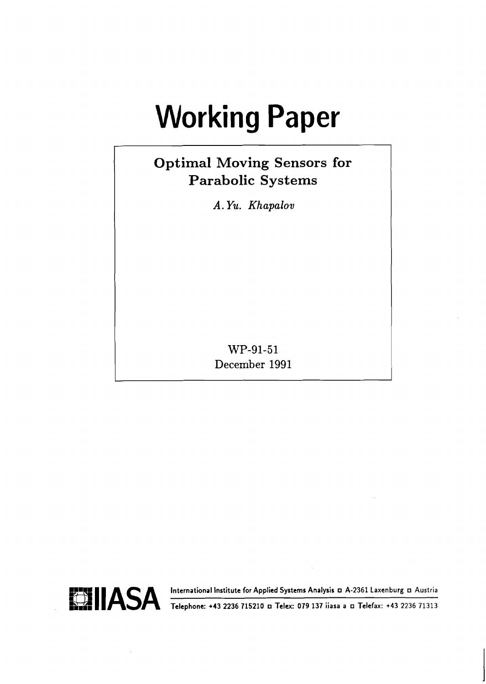# **Working Paper**

# **Optimal Moving Sensors for Parabolic Systems**

*A. Yu. Khapalov* 

WP-91-51 December 1991

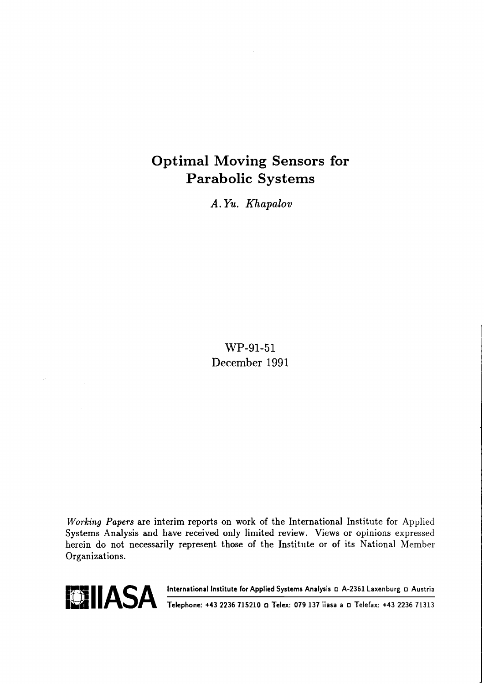## Optimal Moving Sensors for Parabolic Systems

*A.* **Yu.** *Khapalov* 

WP-91-51 December 1991

**Working** *Papers* are interim reports on work of the International Institute for Applied Systems Analysis and have received only limited review. Views or opinions expressed herein do not necessarily represent those of the Institute or of its National Member Organizations.



**ECOLUASA International Institute for Applied Systems Analysis D A-2361 Laxenburg D Austria 1986.**<br>**Telephone: +43 2236 715210 o Telex: 079 137 iiasa a D Telefax: +43 2236 71313**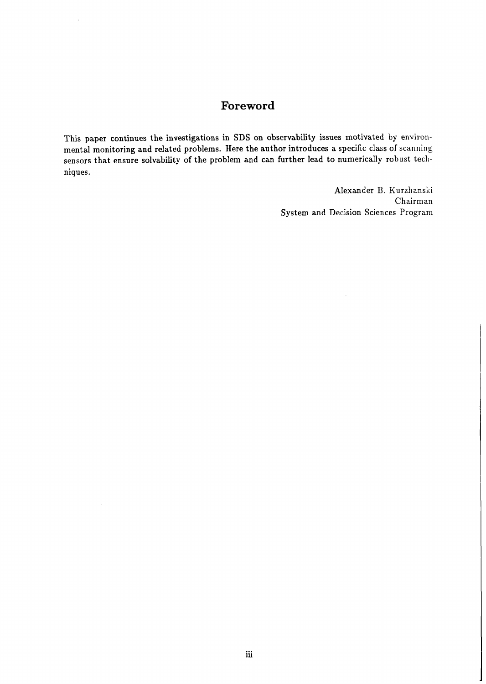## **Foreword**

This paper continues the investigations in SDS on observability issues motivated by environmental monitoring and related problems. Here the author introduces a specific class of scanning sensors that ensure solvability of the problem and can further lead to numerically robust techniques.

> Alexander B. Kurzhanski Chairman System and Decision Sciences Program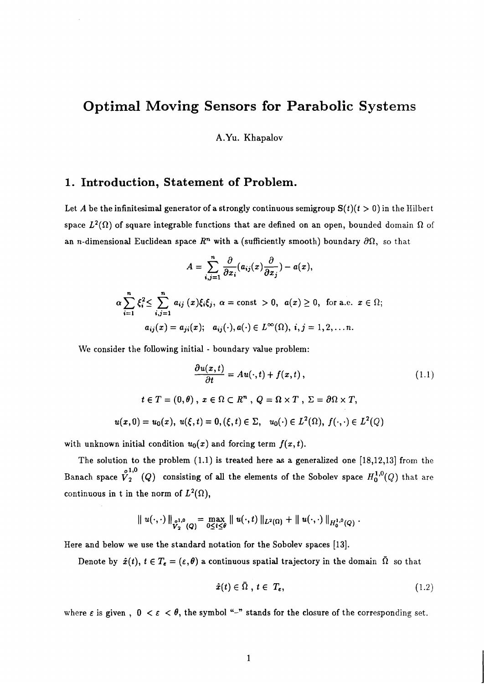## **Optimal Moving Sensors for Parabolic Systems**

**A.Yu.** Khapalov

#### **1. Introduction, Statement of Problem.**

Let A be the infinitesimal generator of a strongly continuous semigroup  $S(t)(t > 0)$  in the Hilbert space  $L^2(\Omega)$  of square integrable functions that are defined on an open, bounded domain  $\Omega$  of an *n*-dimensional Euclidean space  $R^n$  with a (sufficiently smooth) boundary  $\partial\Omega$ , so that

$$
A = \sum_{i,j=1}^n \frac{\partial}{\partial x_i} (a_{ij}(x) \frac{\partial}{\partial x_j}) - a(x),
$$
  
\n
$$
\alpha \sum_{i=1}^n \xi_i^2 \le \sum_{i,j=1}^n a_{ij}(x) \xi_i \xi_j, \ \alpha = \text{const} > 0, \ \ a(x) \ge 0, \ \text{for a.e.} \ x \in \Omega;
$$
  
\n
$$
a_{ij}(x) = a_{ji}(x); \ \ a_{ij}(\cdot), a(\cdot) \in L^\infty(\Omega), \ i, j = 1, 2, \dots n.
$$

We consider the following initial - boundary value problem:

$$
\frac{\partial u(x,t)}{\partial t} = Au(\cdot, t) + f(x,t),
$$
\n
$$
t \in T = (0, \theta), \ x \in \Omega \subset R^n, \ Q = \Omega \times T, \ \Sigma = \partial \Omega \times T,
$$
\n
$$
u(x,0) = u_0(x), \ u(\xi,t) = 0, (\xi,t) \in \Sigma, \ u_0(\cdot) \in L^2(\Omega), \ f(\cdot, \cdot) \in L^2(Q)
$$
\n
$$
(1.1)
$$

with unknown initial condition  $u_0(x)$  and forcing term  $f(x, t)$ .

The solution to the problem (1.1) is treated here as a generalized one [18,12,13] from the Banach space  $\tilde{V}_2^{1,0}(Q)$  consisting of all the elements of the Sobolev space  $H_0^{1,0}(Q)$  that are continuous in t in the norm of  $L^2(\Omega)$ ,

$$
\| u(\cdot,\cdot) \|_{V_2^{0,0}(Q)} = \max_{0 \leq t \leq \theta} \| u(\cdot,t) \|_{L^2(\Omega)} + \| u(\cdot,\cdot) \|_{H_0^{1,0}(Q)}.
$$

Here and below we use the standard notation for the Sobolev spaces [13].

Denote by  $\hat{x}(t)$ ,  $t \in T_e = (\varepsilon, \theta)$  a continuous spatial trajectory in the domain  $\overline{\Omega}$  so that

$$
\hat{x}(t) \in \bar{\Omega}, \ t \in \ T_{\epsilon}, \tag{1.2}
$$

where  $\varepsilon$  is given,  $0 < \varepsilon < \theta$ , the symbol "-" stands for the closure of the corresponding set.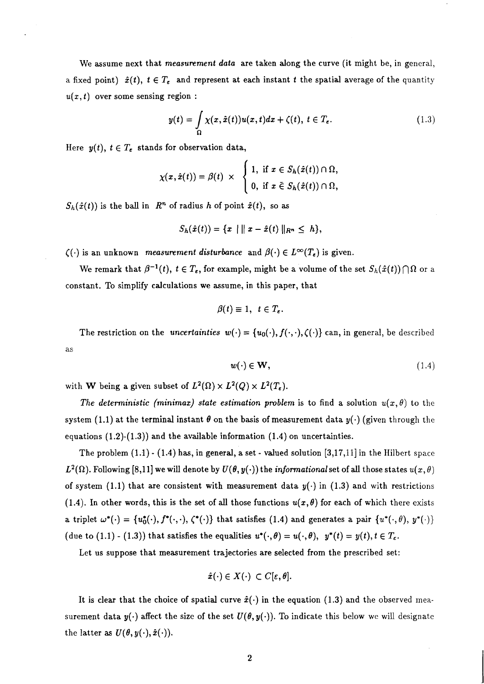We assume next that *measurement data* are taken along the curve (it might be, in general, a fixed point)  $\hat{x}(t)$ ,  $t \in T_{\epsilon}$  and represent at each instant t the spatial average of the quantity  $u(x, t)$  over some sensing region :

$$
y(t) = \int_{\Omega} \chi(x, \hat{x}(t)) u(x, t) dx + \zeta(t), t \in T_{\epsilon}.
$$
 (1.3)

Here  $y(t)$ ,  $t \in T_e$  stands for observation data,

$$
\chi(x,\hat{x}(t)) = \beta(t) \times \begin{cases} 1, & \text{if } x \in S_h(\hat{x}(t)) \cap \Omega, \\ 0, & \text{if } x \in S_h(\hat{x}(t)) \cap \Omega, \end{cases}
$$

 $S_h(\hat{x}(t))$  is the ball in  $R^n$  of radius h of point  $\hat{x}(t)$ , so as

$$
S_h(\hat{x}(t)) = \{x \mid ||x - \hat{x}(t)||_{R^n} \leq h\},\
$$

 $\zeta(\cdot)$  is an unknown measurement disturbance and  $\beta(\cdot) \in L^{\infty}(T_{\epsilon})$  is given.

We remark that  $\beta^{-1}(t)$ ,  $t \in T_{\epsilon}$ , for example, might be a volume of the set  $S_h(\hat{x}(t)) \cap \Omega$  or a constant. To simplify calculations we assume, in this paper, that

$$
\beta(t)\equiv 1,\ t\in T_{\varepsilon}.
$$

The restriction on the *uncertainties*  $w(\cdot) = \{u_0(\cdot), f(\cdot, \cdot), \zeta(\cdot)\}\)$  can, in general, be described as

$$
w(\cdot) \in \mathbf{W},\tag{1.4}
$$

with **W** being a given subset of  $L^2(\Omega) \times L^2(Q) \times L^2(T_{\epsilon})$ .

The deterministic (minimax) state estimation problem is to find a solution  $u(x, \theta)$  to the system (1.1) at the terminal instant  $\theta$  on the basis of measurement data  $y(\cdot)$  (given through the equations  $(1.2)-(1.3)$  and the available information  $(1.4)$  on uncertainties.

The problem  $(1.1)$  -  $(1.4)$  has, in general, a set - valued solution  $[3,17,11]$  in the Hilbert space  $L^2(\Omega)$ . Following [8,11] we will denote by  $U(\theta, y(\cdot))$  the informational set of all those states  $u(x, \theta)$ of system (1.1) that are consistent with measurement data  $y(\cdot)$  in (1.3) and with restrictions (1.4). In other words, this is the set of all those functions  $u(x,\theta)$  for each of which there exists a triplet  $\omega^*(\cdot) = \{u_0^*(\cdot), f^*(\cdot,\cdot), \zeta^*(\cdot)\}\)$  that satisfies (1.4) and generates a pair  $\{u^*(\cdot,\theta), y^*(\cdot)\}\$ (due to (1.1) - (1.3)) that satisfies the equalities  $u^*(\cdot,\theta) = u(\cdot,\theta)$ ,  $y^*(t) = y(t), t \in T_{\epsilon}$ .

Let us suppose that measurement trajectories are selected from the prescribed set:

$$
\hat{x}(\cdot) \in X(\cdot) \, \subset C[\varepsilon, \theta].
$$

It is clear that the choice of spatial curve  $\hat{x}(\cdot)$  in the equation (1.3) and the observed measurement data  $y(\cdot)$  affect the size of the set  $U(\theta, y(\cdot))$ . To indicate this below we will designate the latter as  $U(\theta, y(\cdot), \hat{x}(\cdot))$ .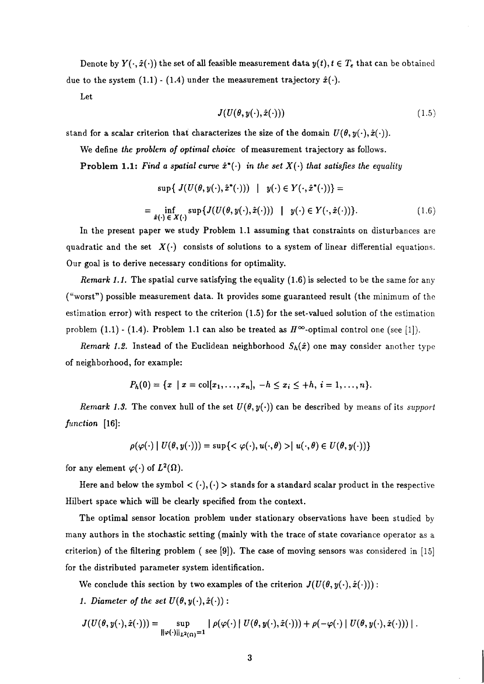Denote by  $Y(\cdot, \hat{x}(\cdot))$  the set of all feasible measurement data  $y(t), t \in T_e$  that can be obtained due to the system  $(1.1)$  -  $(1.4)$  under the measurement trajectory  $\hat{x}(\cdot)$ .

Let

$$
J(U(\theta, y(\cdot), \hat{x}(\cdot)))\tag{1.5}
$$

stand for a scalar criterion that characterizes the size of the domain  $U(\theta, y(\cdot), \hat{x}(\cdot))$ .

We define *the problem of optimal choice* of measurement trajectory as follows.

Problem 1.1: Find a spatial curve  $\hat{x}^*(\cdot)$  in the set  $X(\cdot)$  that satisfies the equality

$$
\sup\{ J(U(\theta, y(\cdot), \hat{x}^*(\cdot))) \mid y(\cdot) \in Y(\cdot, \hat{x}^*(\cdot)) \} =
$$
  
= 
$$
\inf_{\hat{x}(\cdot) \in X(\cdot)} \sup\{ J(U(\theta, y(\cdot), \hat{x}(\cdot))) \mid y(\cdot) \in Y(\cdot, \hat{x}(\cdot)) \}.
$$
 (1.6)

In the present paper we study Problem 1.1 assuming that constraints on disturbances are quadratic and the set  $X(\cdot)$  consists of solutions to a system of linear differential equations. Our goal is to derive necessary conditions for optimality.

*Remark 1.1.* The spatial curve satisfying the equality (1.6) is selected to be the same for any ("worst") possible measurement data. It provides some guaranteed result (the minimum of the estimation error) with respect to the criterion (1.5) for the set-valued solution of the estimation problem (1.1) - (1.4). Problem 1.1 can also be treated as  $H^{\infty}$ -optimal control one (see [1]).

*Remark 1.2.* Instead of the Euclidean neighborhood  $S_h(\hat{x})$  one may consider another type of neighborhood, for example:

$$
P_h(0) = \{x \mid x = \text{col}[x_1,\ldots,x_n], -h \le x_i \le +h, i=1,\ldots,n\}.
$$

*Remark 1.3.* The convex hull of the set  $U(\theta, y(\cdot))$  can be described by means of its *support function* [16]:

$$
\rho(\varphi(\cdot) \mid U(\theta, y(\cdot))) = \sup \{ \langle \varphi(\cdot), u(\cdot, \theta) \rangle \mid u(\cdot, \theta) \in U(\theta, y(\cdot)) \}
$$

for any element  $\varphi(\cdot)$  of  $L^2(\Omega)$ .

Here and below the symbol  $\langle \cdot, \cdot \rangle$  is stands for a standard scalar product in the respective Hilbert space which will be clearly specified from the context.

The optimal sensor location problem under stationary observations have been studied by many authors in the stochastic setting (mainly with the trace of state covariance operator as a criterion) of the filtering problem ( see [9]). The case of moving sensors was considered in [15] for the distributed parameter system identification.

We conclude this section by two examples of the criterion  $J(U(\theta, y(\cdot), \hat{x}(\cdot)))$ :

1. Diameter of the set  $U(\theta, y(\cdot), \hat{x}(\cdot))$ :

$$
J(U(\theta, y(\cdot), \hat{x}(\cdot))) = \sup_{\|\varphi(\cdot)\|_{L^2(\Omega)}=1} |\rho(\varphi(\cdot) | U(\theta, y(\cdot), \hat{x}(\cdot))) + \rho(-\varphi(\cdot) | U(\theta, y(\cdot), \hat{x}(\cdot)))|.
$$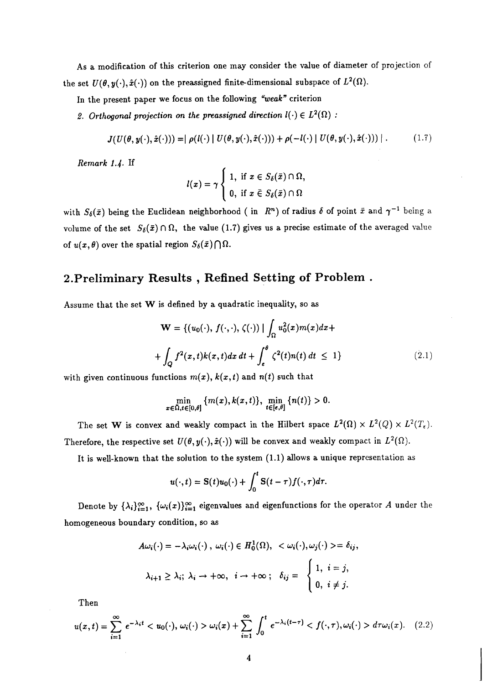As a modification of this criterion one may consider the value of diameter of projection of the set  $U(\theta, y(\cdot), \hat{x}(\cdot))$  on the preassigned finite-dimensional subspace of  $L^2(\Omega)$ .

In the present paper we focus on the following "weak" criterion

2. Orthogonal projection on the preassigned direction  $I(\cdot) \in L^2(\Omega)$ :

$$
J(U(\theta, y(\cdot), \hat{x}(\cdot))) = |\rho(l(\cdot) | U(\theta, y(\cdot), \hat{x}(\cdot))) + \rho(-l(\cdot) | U(\theta, y(\cdot), \hat{x}(\cdot)))|.
$$
 (1.7)

Remark 1.4. If

$$
l(x) = \gamma \begin{cases} 1, & \text{if } x \in S_{\delta}(\bar{x}) \cap \Omega, \\ 0, & \text{if } x \in S_{\delta}(\bar{x}) \cap \Omega \end{cases}
$$

with  $S_{\delta}(\bar{x})$  being the Euclidean neighborhood (in  $R^n$ ) of radius  $\delta$  of point  $\bar{x}$  and  $\gamma^{-1}$  being a volume of the set  $S_{\delta}(\bar{x}) \cap \Omega$ , the value (1.7) gives us a precise estimate of the averaged value of  $u(x, \theta)$  over the spatial region  $S_{\delta}(\bar{x}) \bigcap \Omega$ .

## **2.Preliminary Results** , **Refined Setting of Problem** .

Assume that the set W is defined by a quadratic inequality, so as

$$
\mathbf{W} = \{ (u_0(\cdot), f(\cdot, \cdot), \zeta(\cdot)) \mid \int_{\Omega} u_0^2(x) m(x) dx +
$$
  
+ 
$$
\int_{Q} f^2(x, t) k(x, t) dx dt + \int_{\epsilon}^{\theta} \zeta^2(t) n(t) dt \le 1 \}
$$
 (2.1)

with given continuous functions  $m(x)$ ,  $k(x,t)$  and  $n(t)$  such that

$$
\min_{x\in\bar{\Omega},t\in[0,\theta]}\left\{m(x),k(x,t)\right\},\min_{t\in[\epsilon,\theta]}\left\{n(t)\right\}>0.
$$

The set W is convex and weakly compact in the Hilbert space  $L^2(\Omega) \times L^2(Q) \times L^2(T_{\epsilon}).$ Therefore, the respective set  $U(\theta, y(\cdot), \hat{x}(\cdot))$  will be convex and weakly compact in  $L^2(\Omega)$ .

It is well-known that the solution to the system (1.1) allows a unique representation as

$$
u(\cdot,t) = \mathbf{S}(t)u_0(\cdot) + \int_0^t \mathbf{S}(t-\tau)f(\cdot,\tau)d\tau.
$$

Denote by  $\{\lambda_i\}_{i=1}^{\infty}$ ,  $\{\omega_i(x)\}_{i=1}^{\infty}$  eigenvalues and eigenfunctions for the operator A under the homogeneous boundary condition, so as

$$
A\omega_i(\cdot) = -\lambda_i \omega_i(\cdot), \ \omega_i(\cdot) \in H_0^1(\Omega), \ <\omega_i(\cdot), \omega_j(\cdot) > = \delta_{ij},
$$
  

$$
\lambda_{i+1} \geq \lambda_i; \ \lambda_i \to +\infty, \ \ i \to +\infty; \ \ \delta_{ij} = \begin{cases} 1, \ i = j, \\ 0, \ i \neq j. \end{cases}
$$

Then

$$
u(x,t) = \sum_{i=1}^{\infty} e^{-\lambda_i t} < u_0(\cdot), \omega_i(\cdot) > \omega_i(x) + \sum_{i=1}^{\infty} \int_0^t e^{-\lambda_i(t-\tau)} < f(\cdot, \tau), \omega_i(\cdot) > d\tau \omega_i(x). \quad (2.2)
$$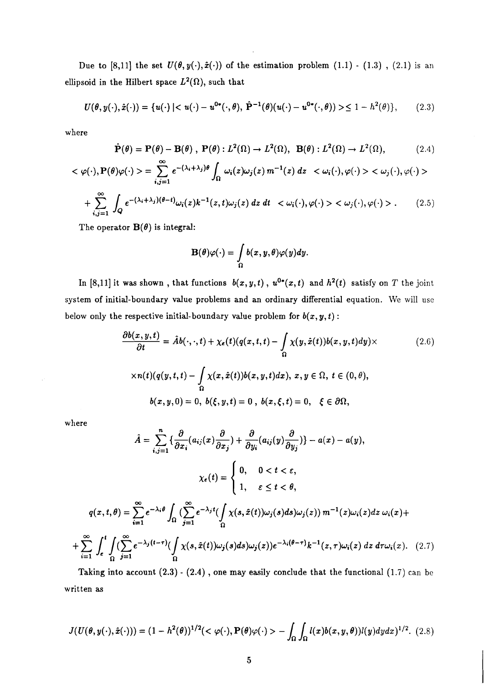Due to [8,11] the set  $U(\theta, y(\cdot), \hat{x}(\cdot))$  of the estimation problem (1.1) - (1.3), (2.1) is an ellipsoid in the Hilbert space  $L^2(\Omega)$ , such that

$$
U(\theta, y(\cdot), \hat{x}(\cdot)) = \{u(\cdot) \mid \leq 1 - h^2(\theta)\},\tag{2.3}
$$

where

$$
\hat{\mathbf{P}}(\theta) = \mathbf{P}(\theta) - \mathbf{B}(\theta), \ \mathbf{P}(\theta) : L^2(\Omega) \to L^2(\Omega), \ \mathbf{B}(\theta) : L^2(\Omega) \to L^2(\Omega), \tag{2.4}
$$

$$
\langle \varphi(\cdot), P(\theta)\varphi(\cdot) \rangle = \sum_{i,j=1}^{\infty} e^{-(\lambda_i + \lambda_j)\theta} \int_{\Omega} \omega_i(z) \omega_j(z) m^{-1}(z) dz \quad \langle \omega_i(\cdot), \varphi(\cdot) \rangle \langle \omega_j(\cdot), \varphi(\cdot) \rangle
$$

$$
+ \sum_{i,j=1}^{\infty} \int_{Q} e^{-(\lambda_i + \lambda_j)(\theta - t)} \omega_i(z) k^{-1}(z, t) \omega_j(z) dz dt \quad \langle \omega_i(\cdot), \varphi(\cdot) \rangle \langle \omega_j(\cdot), \varphi(\cdot) \rangle. \tag{2.5}
$$

The operator  $B(\theta)$  is integral:

$$
\mathbf{B}(\theta)\varphi(\cdot)=\int\limits_{\Omega}b(x,y,\theta)\varphi(y)dy.
$$

In [8,11] it was shown, that functions  $b(x, y, t)$ ,  $u^{0*}(x, t)$  and  $h^2(t)$  satisfy on *T* the joint system of initial-boundary value problems and an ordinary differential equation. We will use below only the respective initial-boundary value problem for  $b(x, y, t)$ :

$$
\frac{\partial b(x,y,t)}{\partial t} = \hat{A}b(\cdot,\cdot,t) + \chi_{\epsilon}(t)(q(x,t,t) - \int_{\Omega} \chi(y,\hat{x}(t))b(x,y,t)dy) \times
$$
\n
$$
\times n(t)(q(y,t,t) - \int_{\Omega} \chi(x,\hat{x}(t))b(x,y,t)dx), x, y \in \Omega, t \in (0,\theta),
$$
\n
$$
b(x,y,0) = 0, b(\xi,y,t) = 0, b(x,\xi,t) = 0, \xi \in \partial\Omega,
$$
\n(2.6)

where

 $\bar{z}$ 

$$
\hat{A} = \sum_{i,j=1}^{n} \left\{ \frac{\partial}{\partial x_i} (a_{ij}(x) \frac{\partial}{\partial x_j}) + \frac{\partial}{\partial y_i} (a_{ij}(y) \frac{\partial}{\partial y_j}) \right\} - a(x) - a(y),
$$
\n
$$
\chi_{\epsilon}(t) = \begin{cases}\n0, & 0 < t < \varepsilon, \\
1, & \varepsilon \le t < \theta,\n\end{cases}
$$
\n
$$
q(x,t,\theta) = \sum_{i=1}^{\infty} e^{-\lambda_i \theta} \int_{\Omega} \left( \sum_{j=1}^{\infty} e^{-\lambda_j t} \left( \int_{\Omega} \chi(s,\hat{x}(t)) \omega_j(s) ds \right) \omega_j(z) \right) m^{-1}(z) \omega_i(z) dz \omega_i(x) +
$$
\n
$$
+ \sum_{i=1}^{\infty} \int_{\epsilon}^{t} \int_{\Omega} \left( \sum_{j=1}^{\infty} e^{-\lambda_j (t-\tau)} \left( \int_{\Omega} \chi(s,\hat{x}(t)) \omega_j(s) ds \right) \omega_j(z) \right) e^{-\lambda_i (\theta-\tau)} k^{-1}(z,\tau) \omega_i(z) dz d\tau \omega_i(x). \quad (2.7)
$$

Taking into account *(2.3)* - *(2.4)* , one may easily conclude that the functional *(1.7)* can be written as

$$
J(U(\theta, y(\cdot), \hat{x}(\cdot))) = (1 - h^2(\theta))^{1/2} (< \varphi(\cdot), \mathbf{P}(\theta) \varphi(\cdot) > - \int_{\Omega} \int_{\Omega} l(x) b(x, y, \theta) l(y) dy dx)^{1/2}.
$$
 (2.8)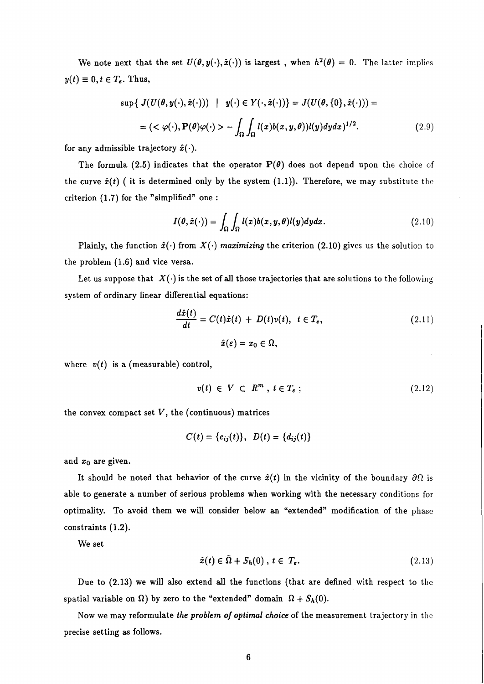We note next that the set  $U(\theta, y(\cdot), \hat{x}(\cdot))$  is largest, when  $h^2(\theta) = 0$ . The latter implies  $y(t) \equiv 0, t \in T_{\epsilon}$ . Thus,

$$
\sup\{ J(U(\theta, y(\cdot), \hat{x}(\cdot))) \mid y(\cdot) \in Y(\cdot, \hat{x}(\cdot)) \} = J(U(\theta, \{0\}, \hat{x}(\cdot))) =
$$
  
=  $(< \varphi(\cdot), P(\theta)\varphi(\cdot) > - \int_{\Omega} \int_{\Omega} l(x)b(x, y, \theta))l(y)dydx\}^{1/2}.$  (2.9)

for any admissible trajectory  $\hat{x}(\cdot)$ .

The formula (2.5) indicates that the operator  $P(\theta)$  does not depend upon the choice of the curve  $\hat{x}(t)$  ( it is determined only by the system (1.1)). Therefore, we may substitute the criterion (1.7) for the "simplified" one :

$$
I(\theta, \hat{x}(\cdot)) = \int_{\Omega} \int_{\Omega} l(x)b(x, y, \theta)l(y)dydx.
$$
 (2.10)

Plainly, the function  $\hat{x}(\cdot)$  from  $X(\cdot)$  maximizing the criterion (2.10) gives us the solution to the problem (1.6) and vice versa.

Let us suppose that  $X(\cdot)$  is the set of all those trajectories that are solutions to the following system of ordinary linear differential equations:

$$
\frac{d\hat{x}(t)}{dt} = C(t)\hat{x}(t) + D(t)v(t), \ t \in T_e,
$$
\n
$$
\hat{x}(\varepsilon) = x_0 \in \Omega,
$$
\n(2.11)

where  $v(t)$  is a (measurable) control,

$$
v(t) \in V \subset R^m \text{ , } t \in T_{\epsilon} \text{ ; } \tag{2.12}
$$

the convex compact set  $V$ , the (continuous) matrices

$$
C(t) = \{c_{ij}(t)\}, D(t) = \{d_{ij}(t)\}
$$

and  $x_0$  are given.

It should be noted that behavior of the curve  $\hat{x}(t)$  in the vicinity of the boundary  $\partial\Omega$  is able to generate a number of serious problems when working with the necessary conditions for optimality. To avoid them we will consider below an "extended" modification of the phase constraints (1.2).

We set

$$
\hat{x}(t) \in \bar{\Omega} + S_h(0), \ t \in T_e. \tag{2.13}
$$

Due to (2.13) we will also extend **all** the functions (that are defined with respect to the spatial variable on  $\Omega$ ) by zero to the "extended" domain  $\Omega + S_h(0)$ .

Now we may reformulate the problem of optimal choice of the measurement trajectory in the precise setting as follows.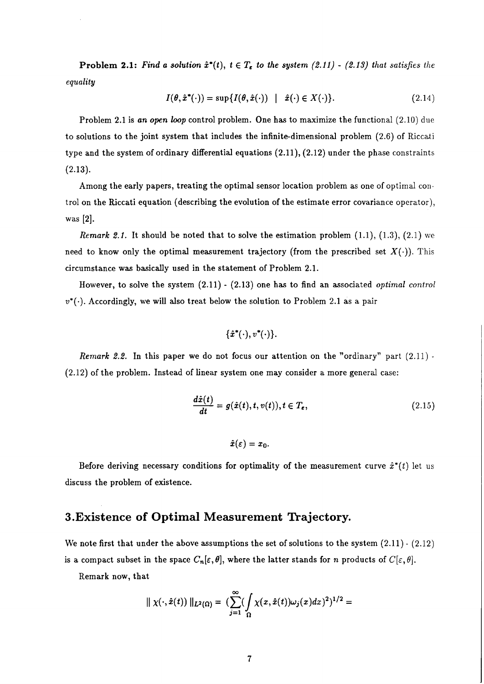**Problem 2.1:** Find a solution  $\hat{x}^*(t)$ ,  $t \in T_e$  to the system (2.11)  $\cdot$  (2.13) that satisfies the *equality* 

$$
I(\theta, \hat{x}^*(\cdot)) = \sup \{ I(\theta, \hat{x}(\cdot)) \mid \hat{x}(\cdot) \in X(\cdot) \}.
$$
 (2.14)

Problem 2.1 is *an open loop* control problem. One has to maximize the functional (2.10) due to solutions to the joint system that includes the infinite-dimensional problem (2.6) of Riccati type and the system of ordinary differential equations (2.11), (2.12) under the phase constraints (2.13).

Among the early papers, treating the optimal sensor location problem as one of optimal control on the Riccati equation (describing the evolution of the estimate error covariance operator), was [2].

*Remark 2.1.* It should be noted that to solve the estimation problem  $(1.1)$ ,  $(1.3)$ ,  $(2.1)$  we need to know only the optimal measurement trajectory (from the prescribed set  $X(\cdot)$ ). This circumstance was basically used in the statement of Problem 2.1.

However, to solve the system (2.11) - (2.13) one has to find an associated *optimal control*   $v^*(\cdot)$ . Accordingly, we will also treat below the solution to Problem 2.1 as a pair

$$
\{\hat{x}^*(\cdot),v^*(\cdot)\}.
$$

*Remark 2.2.* In this paper we do not focus our attention on the "ordinary" part (2.11) -(2.12) of the problem. Instead of linear system one may consider a more general case:

$$
\frac{d\hat{x}(t)}{dt} = g(\hat{x}(t), t, v(t)), t \in T_{\epsilon},
$$
\n(2.15)

 $\hat{x}(\varepsilon) = x_0.$ 

Before deriving necessary conditions for optimality of the measurement curve  $\hat{x}^*(t)$  let us discuss the problem of existence.

### **3.Existence of Optimal Measurement Trajectory.**

We note first that under the above assumptions the set of solutions to the system  $(2.11)$  -  $(2.12)$ is a compact subset in the space  $C_n[\varepsilon, \theta]$ , where the latter stands for *n* products of  $C[\varepsilon, \theta]$ .

Remark now, that

$$
\Vert \chi(\cdot,\hat{x}(t)) \Vert_{L^2(\Omega)} = \big(\sum_{j=1}^{\infty} \big(\int_{\Omega} \chi(x,\hat{x}(t))\omega_j(x)dx\big)^2\big)^{1/2} =
$$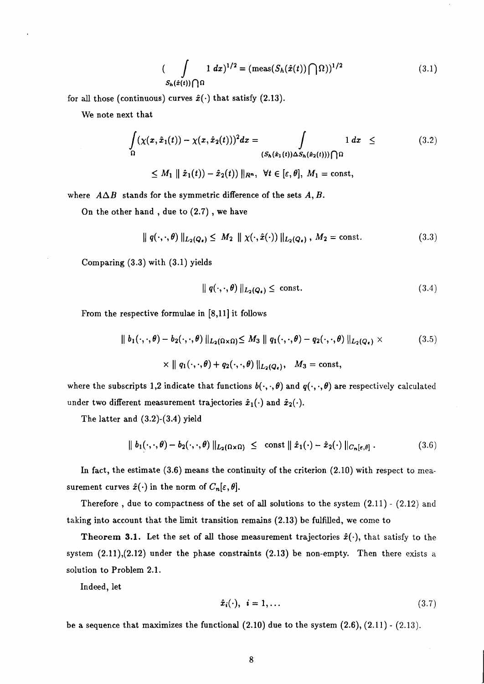$$
\left(\int\limits_{S_h(\hat{x}(t))\bigcap\Omega} 1 \, dx\right)^{1/2} = \left(\text{meas}(S_h(\hat{x}(t))\bigcap\Omega)\right)^{1/2} \tag{3.1}
$$

for all those (continuous) curves  $\hat{x}(\cdot)$  that satisfy (2.13).

We note next that

$$
\int_{\Omega} (\chi(x,\hat{x}_1(t)) - \chi(x,\hat{x}_2(t)))^2 dx = \int_{(S_h(\hat{x}_1(t)) \Delta S_h(\hat{x}_2(t))) \cap \Omega} 1 dx \leq (3.2)
$$
\n
$$
\leq M_1 \parallel \hat{x}_1(t) - \hat{x}_2(t) \parallel_{R^n}, \ \forall t \in [\varepsilon, \theta], \ M_1 = \text{const},
$$

where  $A\Delta B$  stands for the symmetric difference of the sets  $A, B$ .

On the other hand , due to *(2.7)* , we have

$$
\| q(\cdot, \cdot, \theta) \|_{L_2(Q_{\epsilon})} \le M_2 \| \chi(\cdot, \hat{x}(\cdot)) \|_{L_2(Q_{\epsilon})}, M_2 = \text{const.}
$$
 (3.3)

Comparing *(3.3)* with *(3.1)* yields

$$
\|q(\cdot,\cdot,\theta)\|_{L_2(Q_{\epsilon})} \leq \text{ const.} \tag{3.4}
$$

From the respective formulae in *[8,11]* it follows

$$
\| b_1(\cdot, \cdot, \theta) - b_2(\cdot, \cdot, \theta) \|_{L_2(\Omega \times \Omega)} \le M_3 \| q_1(\cdot, \cdot, \theta) - q_2(\cdot, \cdot, \theta) \|_{L_2(Q_{\epsilon})} \times
$$
\n
$$
\times \| q_1(\cdot, \cdot, \theta) + q_2(\cdot, \cdot, \theta) \|_{L_2(Q_{\epsilon})}, \quad M_3 = \text{const},
$$
\n(3.5)

where the subscripts 1,2 indicate that functions  $b(\cdot,\cdot,\theta)$  and  $q(\cdot,\cdot,\theta)$  are respectively calculated under two different measurement trajectories  $\hat{x}_1(\cdot)$  and  $\hat{x}_2(\cdot)$ .

The latter and *(3.2)-(3.4)* yield

$$
\| b_1(\cdot, \cdot, \theta) - b_2(\cdot, \cdot, \theta) \|_{L_2(\Omega \times \Omega)} \leq \text{ const } \| \hat{x}_1(\cdot) - \hat{x}_2(\cdot) \|_{C_n[\varepsilon, \theta]}.
$$
 (3.6)

In fact, the estimate *(3.6)* means the continuity of the criterion *(2.10)* with respect to measurement curves  $\hat{x}(\cdot)$  in the norm of  $C_n[\varepsilon, \theta]$ .

Therefore , due to compactness of the set of **all** solutions to the system *(2.11)* - *(2.12)* and taking into account that the limit transition remains *(2.13)* be fulfilled, we come to

**Theorem 3.1.** Let the set of all those measurement trajectories  $\hat{x}(\cdot)$ , that satisfy to the system *(2.11),(2.12)* under the phase constraints *(2.13)* be non-empty. Then there exists a solution to Problem *2.1.* 

Indeed, let

$$
\hat{x}_i(\cdot), \quad i = 1, \dots \tag{3.7}
$$

be a sequence that maximizes the functional *(2.10)* due to the system *(2.6), (2.11)* - *(2.13).*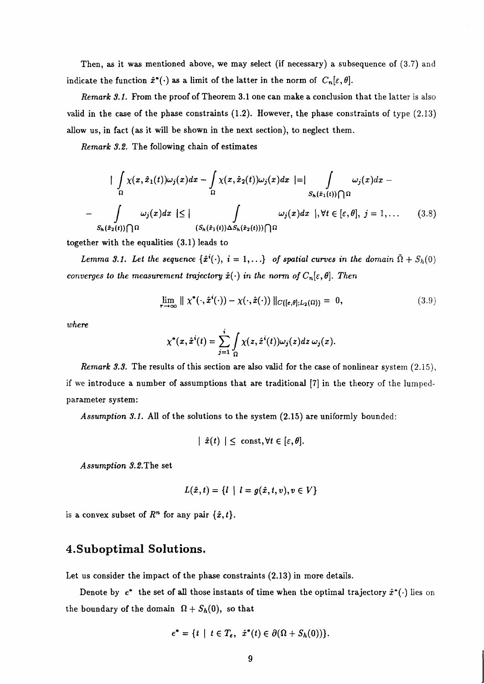Then, as it was mentioned above, we may select (if necessary) a subsequence of  $(3.7)$  and indicate the function  $\hat{x}^*(\cdot)$  as a limit of the latter in the norm of  $C_n[\varepsilon,\theta]$ .

Remark 3.1. From the proof of Theorem 3.1 one can make a conclusion that the latter is also valid in the case of the phase constraints  $(1.2)$ . However, the phase constraints of type  $(2.13)$ allow us, in fact (as it will be shown in the next section), to neglect them.

Remark 3.2. The following chain of estimates

$$
\begin{aligned}\n&\left|\int_{\Omega} \chi(x,\hat{x}_1(t))\omega_j(x)dx - \int_{\Omega} \chi(x,\hat{x}_2(t))\omega_j(x)dx\right| = \left|\int_{S_h(\hat{x}_1(t))\bigcap \Omega} \omega_j(x)dx - S_h(\hat{x}_1(t))\bigcap \Omega\right| \\
&\quad - \int_{S_h(\hat{x}_2(t))\bigcap \Omega} \omega_j(x)dx \leq \left|\int_{(S_h(\hat{x}_1(t))\Delta S_h(\hat{x}_2(t)))\bigcap \Omega} \omega_j(x)dx\right|, \forall t \in [\varepsilon, \theta], \ j = 1, \dots \qquad (3.8)\n\end{aligned}
$$

together with the equalities (3.1) leads to

Lemma 3.1. Let the sequence  $\{\hat{x}^i(\cdot), i = 1, ...\}$  of spatial curves in the domain  $\bar{\Omega} + S_h(0)$ converges to the measurement trajectory  $\hat{x}(\cdot)$  in the norm of  $C_n[\varepsilon, \theta]$ . Then

$$
\lim_{\tau \to \infty} \parallel \chi^*(\cdot, \hat{x}^i(\cdot)) - \chi(\cdot, \hat{x}(\cdot)) \parallel_{C([e,\theta];L_2(\Omega))} = 0, \tag{3.9}
$$

where

$$
\chi^*(x,\hat{x}^i(t))=\sum_{j=1}^i\int_{\Omega}\chi(z,\hat{x}^i(t))\omega_j(z)dz\,\omega_j(x).
$$

Remark 3.3. The results of this section are also valid for the case of nonlinear system  $(2.15)$ , if we introduce a number of assumptions that are traditional [7] in the theory of the lumpedparameter system:

Assumption 3.1. All of the solutions to the system (2.15) are uniformly bounded:

$$
| \hat{x}(t) | \leq \text{const}, \forall t \in [\varepsilon, \theta].
$$

Assumption 3.2.The set

$$
L(\hat{x},t) = \{l \mid l = g(\hat{x},t,v), v \in V\}
$$

is a convex subset of  $R<sup>n</sup>$  for any pair  $\{\hat{x}, t\}.$ 

#### **4.Suboptimal Solutions.**

Let us consider the impact of the phase constraints (2.13) in more details.

Denote by  $e^*$  the set of all those instants of time when the optimal trajectory  $\hat{x}^*(\cdot)$  lies on the boundary of the domain  $\Omega + S_h(0)$ , so that

$$
e^* = \{t \mid t \in T_{\varepsilon}, \ \ \hat{x}^*(t) \in \partial(\Omega + S_h(0))\}.
$$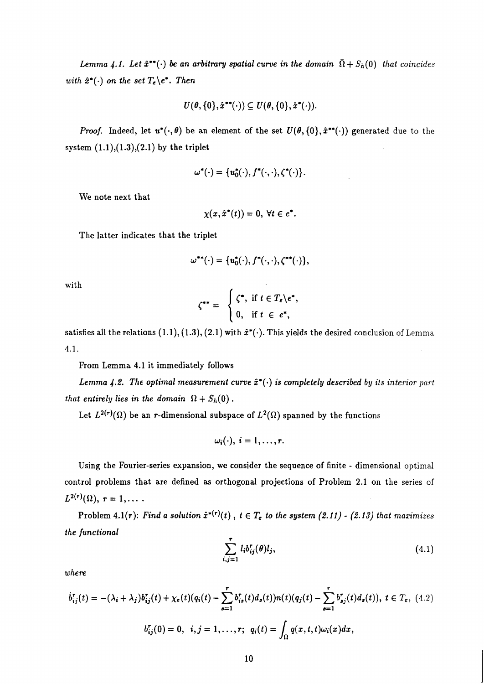*Lemma 4.1. Let*  $\hat{x}^{**}(\cdot)$  *be an arbitrary spatial curve in the domain*  $\bar{\Omega} + S_h(0)$  *that coincides with*  $\hat{x}^*(\cdot)$  *on the set*  $T_e\backslash e^*$ *. Then* 

$$
U(\theta,\{0\},\hat{x}^{**}(\cdot))\subseteq U(\theta,\{0\},\hat{x}^{*}(\cdot)).
$$

*Proof.* Indeed, let  $u^*(\cdot, \theta)$  be an element of the set  $U(\theta, \{0\}, \hat{x}^{**}(\cdot))$  generated due to the system *(1.1),(1.3),(2.1)* by the triplet

$$
\omega^*(\cdot)=\{u_0^*(\cdot),f^*(\cdot,\cdot),\zeta^*(\cdot)\}.
$$

We note next that

$$
\chi(x,\hat{x}^*(t))=0, \ \forall t\in e^*.
$$

The latter indicates that the triplet

$$
\omega^{**}(\cdot)=\{u_0^*(\cdot),f^*(\cdot,\cdot),\zeta^{**}(\cdot)\},\
$$

with

$$
\zeta^{**} = \begin{cases} \zeta^*, & \text{if } t \in T_{\varepsilon} \backslash e^*, \\ 0, & \text{if } t \in e^*, \end{cases}
$$

satisfies all the relations  $(1.1), (1.3), (2.1)$  with  $\hat{x}^*(\cdot)$ . This yields the desired conclusion of Lemma 4.1.

From Lemma *4.1* it immediately follows

Lemma  $\angle 4.2$ . The optimal measurement curve  $\hat{x}^*(\cdot)$  is completely described by its interior part *that entirely lies in the domain*  $\Omega + S_h(0)$ .

Let  $L^{2(r)}(\Omega)$  be an *r*-dimensional subspace of  $L^2(\Omega)$  spanned by the functions

$$
\omega_i(\cdot),\ i=1,\ldots,r.
$$

Using the Fourier-series expansion, we consider the sequence of finite - dimensional optimal control problems that are defined as orthogonal projections of Problem *2.1* on the series of  $L^{2(r)}(\Omega), r = 1, \ldots$ 

Problem 4.1(r): Find a solution  $\hat{x}^{*(r)}(t)$ ,  $t \in T_{\epsilon}$  to the system  $(2.11)$   $\cdot$   $(2.13)$  that maximizes *the functional* 

$$
\sum_{i,j=1}^r l_i b_{ij}^r(\theta) l_j,
$$
\n(4.1)

*where* 

$$
\dot{b}_{ij}^r(t) = -(\lambda_i + \lambda_j)b_{ij}^r(t) + \chi_{\epsilon}(t)(q_i(t) - \sum_{s=1}^{\tau} b_{is}^r(t)d_s(t))n(t)(q_j(t) - \sum_{s=1}^{\tau} b_{sj}^r(t)d_s(t)), \ t \in T_{\epsilon}, \ (4.2)
$$
  

$$
b_{ij}^r(0) = 0, \ \ i, j = 1, ..., r; \ \ q_i(t) = \int_{\Omega} q(x, t, t)\omega_i(x)dx,
$$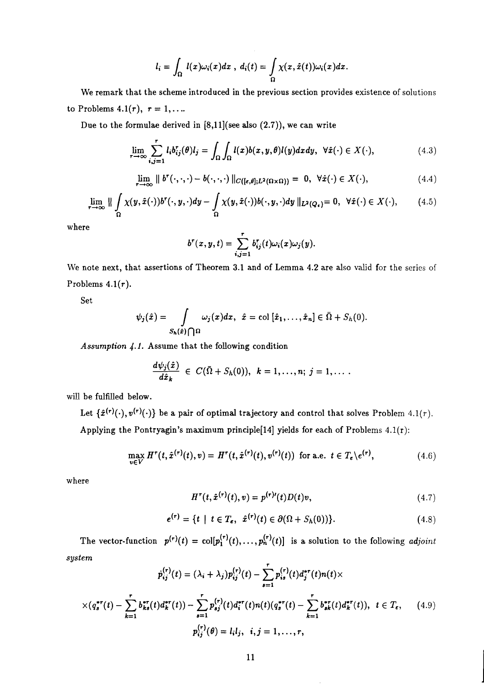$$
l_i = \int_{\Omega} l(x)\omega_i(x)dx, d_i(t) = \int_{\Omega} \chi(x,\hat{x}(t))\omega_i(x)dx
$$

We remark that the scheme introduced in the previous section provides existence of solutions to Problems  $4.1(r)$ ,  $r = 1, \ldots$ 

Due to the formulae derived in [8,ll](see also **(2.7)),** we can write

$$
\lim_{r \to \infty} \sum_{i,j=1}^r l_i b_{ij}^r(\theta) l_j = \int_{\Omega} \int_{\Omega} l(x) b(x,y,\theta) l(y) dx dy, \ \ \forall \hat{x}(\cdot) \in X(\cdot), \tag{4.3}
$$

$$
\lim_{r \to \infty} \parallel b^r(\cdot, \cdot, \cdot) - b(\cdot, \cdot, \cdot) \parallel_{C([\epsilon, \theta]; L^2(\Omega \times \Omega))} = 0, \ \forall \hat{x}(\cdot) \in X(\cdot), \tag{4.4}
$$

$$
\lim_{r \to \infty} \|\int_{\Omega} \chi(y, \hat{x}(\cdot)) b^r(\cdot, y, \cdot) dy - \int_{\Omega} \chi(y, \hat{x}(\cdot)) b(\cdot, y, \cdot) dy\|_{L^2(Q_\epsilon)} = 0, \ \forall \hat{x}(\cdot) \in X(\cdot), \tag{4.5}
$$

where

$$
b^{r}(x, y, t) = \sum_{i,j=1}^{r} b_{ij}^{r}(t)\omega_{i}(x)\omega_{j}(y).
$$

We note next, that assertions of Theorem 3.1 and of Lemma 4.2 are also valid for the series of Problems  $4.1(r)$ .

Set

$$
\psi_j(\hat{x}) = \int \limits_{S_h(\hat{x}) \bigcap \Omega} \omega_j(x) dx, \; \hat{x} = \text{col}\, [\hat{x}_1, \ldots, \hat{x}_n] \in \bar{\Omega} + S_h(0).
$$

Assumption 4.1. Assume that the following condition

$$
\frac{d\psi_j(\hat{x})}{d\hat{x}_k} \in C(\bar{\Omega}+S_h(0)), \ k=1,\ldots,n; \ j=1,\ldots.
$$

will be fulfilled below.

Let  $\{\hat{x}^{(r)}(\cdot),v^{(r)}(\cdot)\}$  be a pair of optimal trajectory and control that solves Problem 4.1(*r*). Applying the Pontryagin's maximum principle[14] yields for each of Problems  $4.1(r)$ :

$$
\max_{v \in V} H^r(t, \hat{x}^{(r)}(t), v) = H^r(t, \hat{x}^{(r)}(t), v^{(r)}(t)) \text{ for a.e. } t \in T_e \setminus e^{(r)}, \tag{4.6}
$$

where

$$
Hr(t, \hat{x}^{(r)}(t), v) = p(r)'(t)D(t)v,
$$
\n(4.7)

$$
e^{(r)} = \{t \mid t \in T_e, \ \hat{x}^{(r)}(t) \in \partial(\Omega + S_h(0))\}.
$$
 (4.8)

The vector-function  $p^{(r)}(t) = col[p_1^{(r)}(t), \ldots, p_n^{(r)}(t)]$  is a solution to the following *adjoint*  $system$  -  $\mathbf{r}$  -  $\mathbf{r}$  -  $\mathbf{r}$  -  $\mathbf{r}$ 

$$
p_{ij}^{(r)}(t) = (\lambda_i + \lambda_j) p_{ij}^{(r)}(t) - \sum_{s=1}^r p_{is}^{(r)}(t) d_j^{*r}(t) n(t) \times
$$
  
 
$$
\times (q_s^{*r}(t) - \sum_{k=1}^r b_{ks}^{*r}(t) d_k^{*r}(t)) - \sum_{s=1}^r p_{sj}^{(r)}(t) d_i^{*r}(t) n(t) (q_s^{*r}(t) - \sum_{k=1}^r b_{sk}^{*r}(t) d_k^{*r}(t)), \ t \in T_{\epsilon}, \qquad (4.9)
$$
  

$$
p_{ij}^{(r)}(\theta) = l_i l_j, \ \ i, j = 1, ..., r,
$$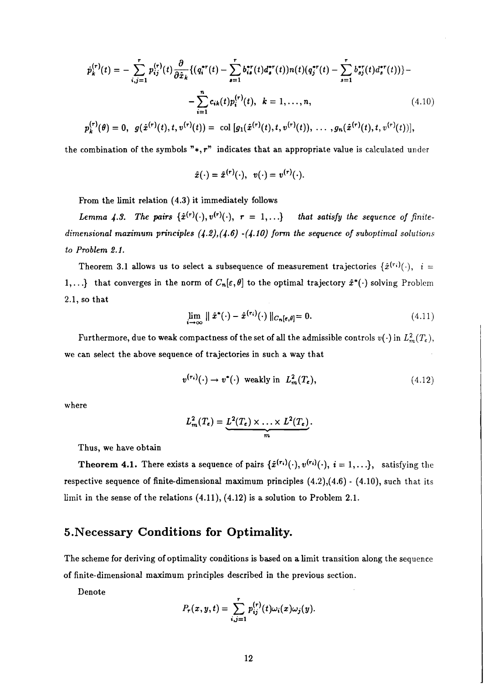$$
\dot{p}_k^{(r)}(t) = -\sum_{i,j=1}^r p_{ij}^{(r)}(t) \frac{\partial}{\partial \hat{x}_k} \{ (q_i^{*r}(t) - \sum_{s=1}^r b_{is}^{*r}(t) d_s^{*r}(t)) n(t) (q_j^{*r}(t) - \sum_{s=1}^r b_{sj}^{*r}(t) d_s^{*r}(t)) \} - \sum_{i=1}^n c_{ik}(t) p_i^{(r)}(t), \quad k = 1, ..., n,
$$
\n(4.10)

$$
p_k^{(r)}(\theta) = 0, \ \ g(\hat{x}^{(r)}(t), t, v^{(r)}(t)) = \ \text{col}\ [g_1(\hat{x}^{(r)}(t), t, v^{(r)}(t)), \ \ldots \ , g_n(\hat{x}^{(r)}(t), t, v^{(r)}(t))],
$$

the combination of the symbols  $"*,r"$  indicates that an appropriate value is calculated under

$$
\hat{x}(\cdot) = \hat{x}^{(r)}(\cdot), \ \ v(\cdot) = v^{(r)}(\cdot).
$$

From the limit relation (4.3) it immediately follows

*Lemma 4.3. The pairs*  $\{\hat{x}^{(r)}(\cdot), v^{(r)}(\cdot), r = 1, ...\}$  that satisfy the sequence of finite*dimensional mazimum principles (4.2),(4.6) -(4.lO) form the sequence of suboptimal solutions to Problem 2.1.* 

Theorem 3.1 allows us to select a subsequence of measurement trajectories  $\{\hat{x}^{(r_i)}(\cdot), i =$ 1,...} that converges in the norm of  $C_n[\varepsilon, \theta]$  to the optimal trajectory  $\hat{x}^*(\cdot)$  solving Problem **2.1,** so that

$$
\lim_{i \to \infty} \parallel \hat{x}^*(\cdot) - \hat{x}^{(r_i)}(\cdot) \parallel_{C_n[\epsilon,\theta]} = 0. \tag{4.11}
$$

Furthermore, due to weak compactness of the set of all the admissible controls  $v(\cdot)$  in  $L^2_m(T_\epsilon)$ , we can select the above sequence of trajectories in such a way that

$$
v^{(\tau_i)}(\cdot) \to v^*(\cdot) \text{ weakly in } L^2_m(T_{\varepsilon}), \qquad (4.12)
$$

where

$$
L_m^2(T_{\epsilon}) = \underbrace{L^2(T_{\epsilon}) \times \ldots \times L^2(T_{\epsilon})}_{m}.
$$

Thus, we have obtain

**Theorem 4.1.** There exists a sequence of pairs  $\{\hat{x}^{(r_i)}(\cdot), v^{(r_i)}(\cdot), i = 1, ...\}$ , satisfying the respective sequence of finite-dimensional maximum principles **(4.2),(4.6)** - **(4.10),** such that its limit in the sense of the relations **(4.11), (4.12)** is a solution to Problem **2.1.** 

#### **5. Necessary Conditions for Optimality.**

The scheme for deriving of optimality conditions is based on a limit transition along the sequence of finite-dimensional maximum principles described in the previous section.

Denote

$$
P_r(x,y,t)=\sum_{i,j=1}^r p_{ij}^{(r)}(t)\omega_i(x)\omega_j(y).
$$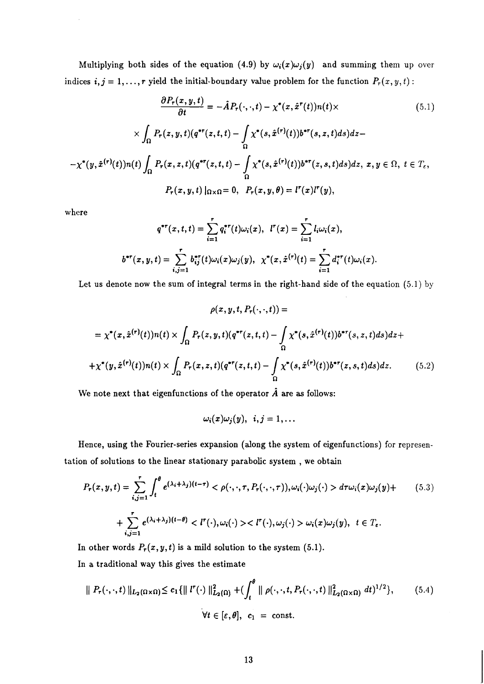Multiplying both sides of the equation (4.9) by  $\omega_i(x)\omega_j(y)$  and summing them up over indices  $i, j = 1, ..., r$  yield the initial-boundary value problem for the function  $P_r(x, y, t)$ :

$$
\frac{\partial P_r(x, y, t)}{\partial t} = -\hat{A}P_r(\cdot, \cdot, t) - \chi^*(x, \hat{x}^r(t))n(t) \times
$$
\n
$$
\times \int_{\Omega} P_r(z, y, t)(q^{*r}(z, t, t) - \int_{\Omega} \chi^*(s, \hat{x}^{(r)}(t))b^{*r}(s, z, t)ds)dz - \chi^*(y, \hat{x}^{(r)}(t))n(t) \int_{\Omega} P_r(x, z, t)(q^{*r}(z, t, t) - \int_{\Omega} \chi^*(s, \hat{x}^{(r)}(t))b^{*r}(z, s, t)ds)dz, x, y \in \Omega, t \in T_{\epsilon},
$$
\n
$$
P_r(x, y, t)|_{\Omega \times \Omega} = 0, \quad P_r(x, y, \theta) = l^r(x)l^r(y),
$$
\n(5.1)

where

$$
q^{*r}(x,t,t) = \sum_{i=1}^r q_i^{*r}(t)\omega_i(x), \quad l^r(x) = \sum_{i=1}^r l_i \omega_i(x),
$$
  

$$
b^{*r}(x,y,t) = \sum_{i,j=1}^r b_{ij}^{*r}(t)\omega_i(x)\omega_j(y), \quad \chi^*(x,\hat{x}^{(r)}(t) = \sum_{i=1}^r d_i^{*r}(t)\omega_i(x)
$$

Let us denote now the sum of integral terms in the right-hand side of the equation (5.1) by

$$
\rho(x, y, t, P_r(\cdot, \cdot, t)) =
$$
  
=  $\chi^*(x, \hat{x}^{(r)}(t))n(t) \times \int_{\Omega} P_r(z, y, t)(q^{*r}(z, t, t) - \int_{\Omega} \chi^*(s, \hat{x}^{(r)}(t))b^{*r}(s, z, t)ds)dz +$   
+  $\chi^*(y, \hat{x}^{(r)}(t))n(t) \times \int_{\Omega} P_r(x, z, t)(q^{*r}(z, t, t) - \int_{\Omega} \chi^*(s, \hat{x}^{(r)}(t))b^{*r}(z, s, t)ds)dz.$  (5.2)

We note next that eigenfunctions of the operator  $\hat{A}$  are as follows:

$$
\omega_i(x)\omega_j(y),\;\;i,j=1,\ldots
$$

Hence, using the Fourier-series expansion (along the system of eigenfunctions) for representation of solutions to the linear stationary parabolic system , we obtain

$$
P_r(x, y, t) = \sum_{i,j=1}^r \int_t^\theta e^{(\lambda_i + \lambda_j)(t-\tau)} < \rho(\cdot, \cdot, \tau, P_r(\cdot, \cdot, \tau)), \omega_i(\cdot)\omega_j(\cdot) > d\tau \omega_i(x)\omega_j(y) +
$$
  
+ 
$$
\sum_{i,j=1}^r e^{(\lambda_i + \lambda_j)(t-\theta)} < l^r(\cdot), \omega_i(\cdot) > l^r(\cdot), \omega_j(\cdot) > \omega_i(x)\omega_j(y), \ t \in T_\varepsilon.
$$
 (5.3)

In other words  $P_r(x, y, t)$  is a mild solution to the system (5.1).

In a traditional way this gives the estimate

$$
\| P_{\tau}(\cdot,\cdot,t) \|_{L_2(\Omega \times \Omega)} \le c_1 \{ \| l^{\tau}(\cdot) \|_{L_2(\Omega)}^2 + (\int_t^\theta \| \rho(\cdot,\cdot,t,P_{\tau}(\cdot,\cdot,t)) \|_{L_2(\Omega \times \Omega)}^2 dt)^{1/2} \}, \qquad (5.4)
$$
  

$$
\forall t \in [\varepsilon,\theta], \quad c_1 = \text{const.}
$$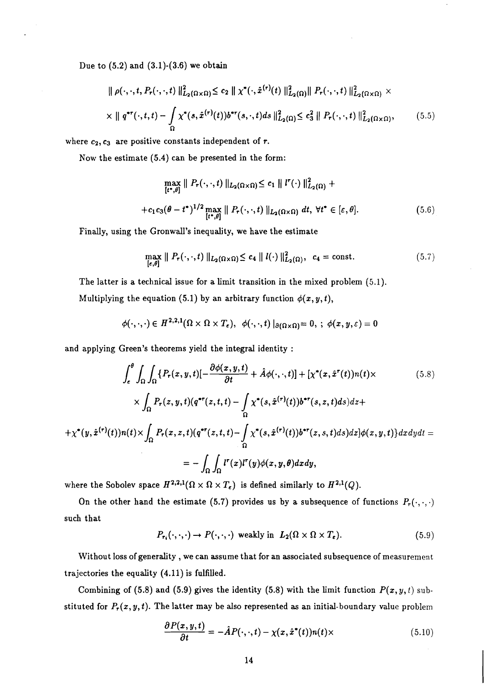Due to  $(5.2)$  and  $(3.1)-(3.6)$  we obtain

$$
\|\rho(\cdot,\cdot,t,P_{r}(\cdot,\cdot,t))\|_{L_{2}(\Omega\times\Omega)}^{2} \leq c_{2} \|\chi^{*}(\cdot,\hat{x}^{(r)}(t))\|_{L_{2}(\Omega)}^{2}\|P_{r}(\cdot,\cdot,t)\|_{L_{2}(\Omega\times\Omega)}^{2} \times \times \|\ q^{*r}(\cdot,t,t) - \int_{\Omega} \chi^{*}(s,\hat{x}^{(r)}(t))b^{*r}(s,\cdot,t)ds\|_{L_{2}(\Omega)}^{2} \leq c_{3}^{2} \|P_{r}(\cdot,\cdot,t)\|_{L_{2}(\Omega\times\Omega)}^{2},
$$
\n(5.5)

where  $c_2, c_3$  are positive constants independent of r.

Now the estimate (5.4) can be presented in the form:

$$
\max_{\left[t^*,\theta\right]} \parallel P_{\tau}(\cdot,\cdot,t) \parallel_{L_2(\Omega \times \Omega)} \le c_1 \parallel l^{\tau}(\cdot) \parallel_{L_2(\Omega)}^2 +
$$
  
+  $c_1 c_3 (\theta - t^*)^{1/2} \max_{\left[t^*,\theta\right]} \parallel P_{\tau}(\cdot,\cdot,t) \parallel_{L_2(\Omega \times \Omega)} dt, \forall t^* \in [\varepsilon,\theta].$  (5.6)

Finally, using the Gronwall's inequality, we have the estimate

$$
\max_{\left[\epsilon,\theta\right]} \parallel P_r(\cdot,\cdot,t) \parallel_{L_2(\Omega \times \Omega)} \le c_4 \parallel l(\cdot) \parallel_{L_2(\Omega)}^2, \quad c_4 = \text{const.} \tag{5.7}
$$

The latter is a technical issue for a limit transition in the mixed problem (5.1). Multiplying the equation (5.1) by an arbitrary function  $\phi(x, y, t)$ ,

$$
\phi(\cdot,\cdot,\cdot)\in H^{2,2,1}(\Omega\times\Omega\times T_{\epsilon}),\ \ \phi(\cdot,\cdot,t)\mid_{\partial(\Omega\times\Omega)}=0,\ ;\ \phi(x,y,\epsilon)=0
$$

and applying Green's theorems yield the integral identity :

$$
\int_{\varepsilon}^{\theta} \int_{\Omega} \int_{\Omega} \{P_r(x, y, t) \left[ -\frac{\partial \phi(x, y, t)}{\partial t} + \hat{A} \phi(\cdot, \cdot, t) \right] + \left[ \chi^*(x, \hat{x}^r(t)) n(t) \times \right] \times \int_{\Omega} P_r(z, y, t) (q^{*r}(z, t, t) - \int_{\Omega} \chi^*(s, \hat{x}^{(r)}(t)) b^{*r}(s, z, t) ds) dz +
$$
\n
$$
+ \chi^*(y, \hat{x}^{(r)}(t)) n(t) \times \int_{\Omega} P_r(x, z, t) (q^{*r}(z, t, t) - \int_{\Omega} \chi^*(s, \hat{x}^{(r)}(t)) b^{*r}(z, s, t) ds) dz] \phi(x, y, t) \} dx dy dt =
$$
\n
$$
= - \int_{\Omega} \int_{\Omega} l^r(x) l^r(y) \phi(x, y, \theta) dx dy,
$$
\n(5.8)

where the Sobolev space  $H^{2,2,1}(\Omega \times \Omega \times T_{\epsilon})$  is defined similarly to  $H^{2,1}(Q)$ .

On the other hand the estimate (5.7) provides us by a subsequence of functions  $P_r(\cdot,\cdot,\cdot)$ such that

$$
P_{\mathbf{r}_{i}}(\cdot,\cdot,\cdot) \to P(\cdot,\cdot,\cdot) \text{ weakly in } L_{2}(\Omega \times \Omega \times T_{\epsilon}).
$$
\n
$$
(5.9)
$$

Without loss of generality , we can assume that for an associated subsequence of measurement trajectories the equality  $(4.11)$  is fulfilled.

Combining of (5.8) and (5.9) gives the identity (5.8) with the limit function  $P(x, y, t)$  substituted for  $P_r(x, y, t)$ . The latter may be also represented as an initial-boundary value problem

$$
\frac{\partial P(x,y,t)}{\partial t} = -\hat{A}P(\cdot,\cdot,t) - \chi(x,\hat{x}^*(t))n(t)\times
$$
\n(5.10)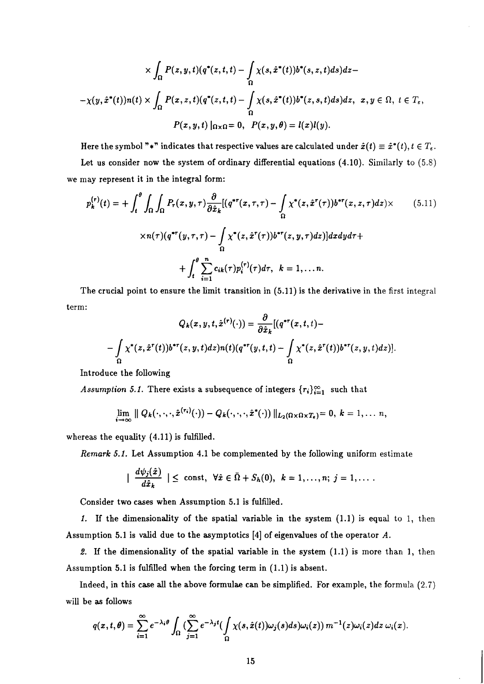$$
\times \int_{\Omega} P(z, y, t)(q^*(z, t, t) - \int_{\Omega} \chi(s, \hat{x}^*(t))b^*(s, z, t)ds)dz -
$$
  

$$
-\chi(y, \hat{x}^*(t))n(t) \times \int_{\Omega} P(x, z, t)(q^*(z, t, t) - \int_{\Omega} \chi(s, \hat{x}^*(t))b^*(z, s, t)ds)dz, \ x, y \in \Omega, t \in T_{\varepsilon},
$$
  

$$
P(x, y, t) |_{\Omega \times \Omega} = 0, \quad P(x, y, \theta) = l(x)l(y).
$$

Here the symbol "\*" indicates that respective values are calculated under  $\hat{x}(t) \equiv \hat{x}^*(t), t \in T_{\epsilon}$ . Let us consider now the system of ordinary differential equations *(4.10).* Similarly to *(5.8)*  we may represent it in the integral form:

$$
p_k^{(r)}(t) = + \int_t^\theta \int_{\Omega} \int_{\Omega} P_r(x, y, \tau) \frac{\partial}{\partial \hat{x}_k} [(q^{*r}(x, \tau, \tau) - \int_{\Omega} \chi^*(z, \hat{x}^r(\tau)) b^{*r}(x, z, \tau) dz) \times
$$
\n
$$
\times n(\tau) (q^{*r}(y, \tau, \tau) - \int_{\Omega} \chi^*(z, \hat{x}^r(\tau)) b^{*r}(z, y, \tau) dz)] dz dy d\tau +
$$
\n
$$
+ \int_t^\theta \sum_{i=1}^n c_{ik}(\tau) p_i^{(r)}(\tau) d\tau, \quad k = 1, \dots n.
$$
\n(5.11)

The crucial point to ensure the limit transition in *(5.11)* is the derivative in the first integral term:

$$
Q_k(x, y, t, \hat{x}^{(r)}(\cdot)) = \frac{\partial}{\partial \hat{x}_k} [(q^{*r}(x, t, t) -
$$

$$
-\int_{\Omega} \chi^*(z, \hat{x}^r(t)) b^{*r}(z, y, t) dz) n(t) (q^{*r}(y, t, t) - \int_{\Omega} \chi^*(z, \hat{x}^r(t)) b^{*r}(z, y, t) dz)].
$$

Introduce the following

*Assumption 5.1.* There exists a subsequence of integers  $\{r_i\}_{i=1}^{\infty}$  such that

$$
\lim_{i\to\infty}\parallel Q_k(\cdot,\cdot,\cdot,\hat{x}^{(r_i)}(\cdot))-Q_k(\cdot,\cdot,\cdot,\hat{x}^*(\cdot))\parallel_{L_2(\Omega\times\Omega\times T_{\epsilon})}=0,\;k=1,\ldots n,
$$

whereas the equality *(4.11)* is fulfilled.

*Remark* **5.1.** Let Assumption *4.1* be complemented by the following uniform estimate

$$
\mid \frac{d\psi_j(\hat{x})}{d\hat{x}_k} \mid \leq \text{ const}, \ \forall \hat{x} \in \bar{\Omega} + S_h(0), \ k = 1, \ldots, n; \ j = 1, \ldots.
$$

Consider two cases when Assumption *5.1* is fulfilled.

**1.** If the dimensionality of the spatial variable in the system *(1.1)* is equal to 1, then Assumption *5.1* is valid due to the asymptotics *[4]* of eigenvalues of the operator *A.* 

2. If the dimensionality of the spatial variable in the system *(1.1)* is more than *1,* then Assumption *5.1* is fulfilled when the forcing term in *(1.1)* is absent.

Indeed, in this case **all** the above formulae can be simplified. For example, the formula (2.7) will be as follows

$$
q(x,t,\theta)=\sum_{i=1}^{\infty}e^{-\lambda_i\theta}\int_{\Omega}\big(\sum_{j=1}^{\infty}e^{-\lambda_jt}\big(\int_{\Omega}\chi(s,\hat{x}(t))\omega_j(s)ds\big)\omega_i(z)\big)\,m^{-1}(z)\omega_i(z)dz\,\omega_i(x).
$$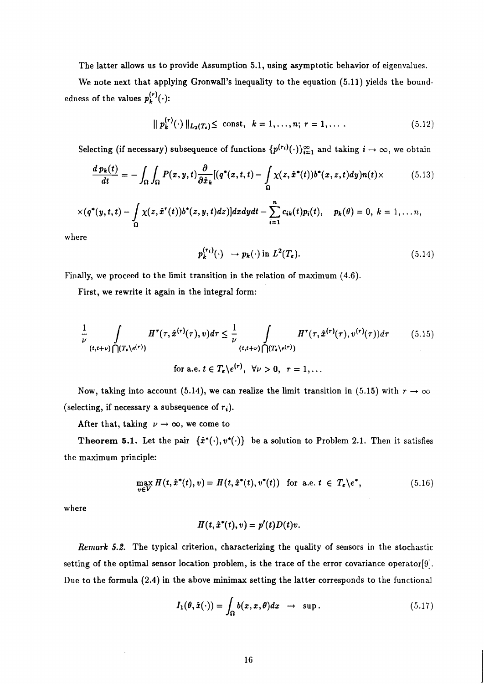The latter allows us to provide Assumption 5.1, using asymptotic behavior of eigenvalues.

We note next that applying Gronwall's inequality to the equation (5.11) yields the boundedness of the values  $p_k^{(r)}(\cdot)$ :

$$
\| p_k^{(r)}(\cdot) \|_{L_2(T_{\epsilon})} \le \text{ const}, \ \ k = 1, \dots, n; \ r = 1, \dots \, . \tag{5.12}
$$

Selecting (if necessary) subsequence of functions  $\{p^{(r_i)}(\cdot)\}_{i=1}^{\infty}$  and taking  $i \to \infty$ , we obtain

$$
\frac{d\,p_k(t)}{dt} = -\int_{\Omega}\int_{\Omega}P(x,y,t)\frac{\partial}{\partial\hat{x}_k}[(q^*(x,t,t)-\int_{\Omega}\chi(z,\hat{x}^*(t))b^*(x,z,t)dy)n(t)\times\tag{5.13}
$$

$$
\times (q^*(y,t,t)-\int_{\Omega} \chi(z,\hat{x}^r(t))b^*(z,y,t)dz)]dxdydt-\sum_{i=1}^n c_{ik}(t)p_i(t), \quad p_k(\theta)=0, k=1,\ldots n,
$$

where

$$
p_k^{(r_i)}(\cdot) \rightarrow p_k(\cdot) \text{ in } L^2(T_{\epsilon}). \tag{5.14}
$$

Finally, we proceed to the limit transition in the relation of maximum (4.6).

First, we rewrite it again in the integral form:

$$
\frac{1}{\nu} \int_{(t,t+\nu)\bigcap (T_{\epsilon}\setminus e^{(\tau)})} H^r(\tau,\hat{x}^{(r)}(\tau),v)d\tau \leq \frac{1}{\nu} \int_{(t,t+\nu)\bigcap (T_{\epsilon}\setminus e^{(\tau)})} H^r(\tau,\hat{x}^{(r)}(\tau),v^{(r)}(\tau))d\tau \qquad (5.15)
$$
\n
$$
\text{for a.e. } t \in T_{\epsilon}\setminus e^{(r)}, \ \forall \nu > 0, \ \ r = 1,...
$$

Now, taking into account (5.14), we can realize the limit transition in (5.15) with  $r \to \infty$ (selecting, if necessary a subsequence of  $r_i$ ).

After that, taking  $\nu \rightarrow \infty$ , we come to

**Theorem 5.1.** Let the pair  $\{\hat{x}^*(\cdot), v^*(\cdot)\}$  be a solution to Problem 2.1. Then it satisfies the maximum principle:

$$
\max_{v \in V} H(t, \hat{x}^*(t), v) = H(t, \hat{x}^*(t), v^*(t)) \text{ for a.e. } t \in T_{\epsilon} \backslash e^*,
$$
 (5.16)

where

$$
H(t, \hat{x}^*(t), v) = p'(t)D(t)v.
$$

Remark 5.2. The typical criterion, characterizing the quality of sensors in the stochastic setting of the optimal sensor location problem, is the trace of the error covariance operator[9]. Due to the formula (2.4) in the above minimax setting the latter corresponds to the functional

$$
I_1(\theta, \hat{x}(\cdot)) = \int_{\Omega} b(x, x, \theta) dx \rightarrow \sup. \qquad (5.17)
$$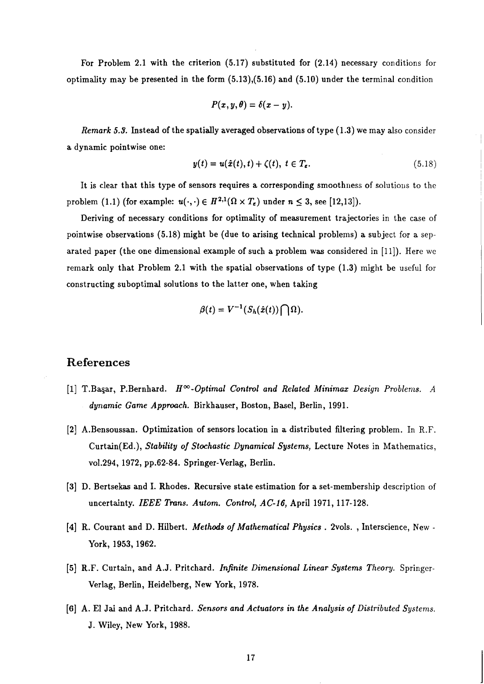For Problem 2.1 with the criterion (5.17) substituted for (2.14) necessary conditions for optimality may be presented in the form (5.13),(5.16) and (5.10) under the terminal condition

$$
P(x,y,\theta)=\delta(x-y).
$$

Remark **5.3.** Instead of the spatially averaged observations of type (1.3) we may also consider a dynamic pointwise one:

$$
y(t) = u(\hat{x}(t), t) + \zeta(t), t \in T_{\epsilon}.
$$
\n(5.18)

It is clear that this type of sensors requires a corresponding smoothness of solutions to the problem (1.1) (for example:  $u(\cdot, \cdot) \in H^{2,1}(\Omega \times T_{\epsilon})$  under  $n \leq 3$ , see [12,13]).

Deriving of necessary conditions for optimality of measurement trajectories in the case of pointwise observations (5.18) might be (due to arising technical problems) a subject for a separated paper (the one dimensional example of such a problem was considered in [Ill). Here we remark only that Problem 2.1 with the spatial observations of type (1.3) might be useful for constructing suboptimal solutions to the latter one, when taking

$$
\beta(t)=V^{-1}(S_h(\hat{x}(t))\bigcap\Omega).
$$

#### **References**

- [1] T.Başar, P.Bernhard.  $H^{\infty}$ -Optimal Control and Related Minimax Design Problems. A dynamic Game Approach. Birkhauser, Boston, Basel, Berlin, 1991.
- [2] A.Bensoussan. Optimization of sensors location in a distributed filtering problem. In R.F. Curtain(Ed.), Stability of Stochastic Dynamical Systems, Lecture Notes in Mathematics, vo1.294, 1972, pp.62-84. Springer-Verlag, Berlin.
- [3] D. Bertsekas and I. Rhodes. Recursive state estimation for a set-membership description of uncertainty. IEEE Trans. Autom. Control, AC-16, April 1971, 117-128.
- [4] R. Courant and D. Hilbert. *Methods of Mathematical Physics.* 2vols., Interscience, New -York, 1953,1962.
- [5] R.F. Curtain, and A.J. Pritchard. Infinite Dimensional Linear Systems Theory. Springer-Verlag, Berlin, Heidelberg, New York, 1978.
- [6] A. El **Jai** and A.J. Pritchard. Sensors and Actuators in the Analysis of Distributed Systems. J. Wiley, New York, 1988.